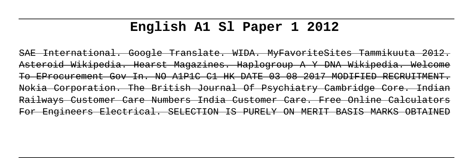## **English A1 Sl Paper 1 2012**

SAE International. Google Translate. WIDA. MyFavoriteSites Tammikuuta 2012. Asteroid Wikipedia. Hearst Magazines. Haplogroup A Y DNA Wikipedia. Welcome To EProcurement Gov In. NO A1P1C C1 HK DATE 03 08 2017 MODIFIED RECRUITMENT. Nokia Corporation. The British Journal Of Psychiatry Cambridge Core. Indian Railways Customer Care Numbers India Customer Care. Free Online Calculators For Engineers Electrical. SELECTION IS PURELY ON MERIT BASIS MARKS OBTAINED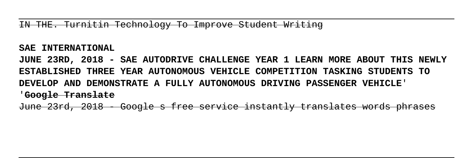IN THE. Turnitin Technology To Improve Student Writing

**SAE INTERNATIONAL**

**JUNE 23RD, 2018 - SAE AUTODRIVE CHALLENGE YEAR 1 LEARN MORE ABOUT THIS NEWLY ESTABLISHED THREE YEAR AUTONOMOUS VEHICLE COMPETITION TASKING STUDENTS TO DEVELOP AND DEMONSTRATE A FULLY AUTONOMOUS DRIVING PASSENGER VEHICLE**' '**Google Translate**

June 23rd, 2018 - Google s free service instantly translates words phrases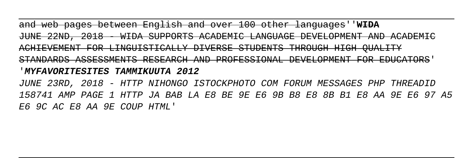and web pages between English and over 100 other languages''**WIDA** JUNE 22ND, 2018 - WIDA SUPPORTS ACADEMIC LANGUAGE DEVELOPMENT AND ACHIEVEMENT FOR LINGUISTICALLY DIVERSE STUDENTS THROUGH HIGH QUALITY STANDARDS ASSESSMENTS RESEARCH AND PROFESSIONAL DEVELOPMENT FOR EDUCATORS' '**MYFAVORITESITES TAMMIKUUTA 2012** JUNE 23RD, 2018 - HTTP NIHONGO ISTOCKPHOTO COM FORUM MESSAGES PHP THREADID 158741 AMP PAGE 1 HTTP JA BAB LA E8 BE 9E E6 9B B8 E8 8B B1 E8 AA 9E E6 97 A5 E6 9C AC E8 AA 9E COUP HTML'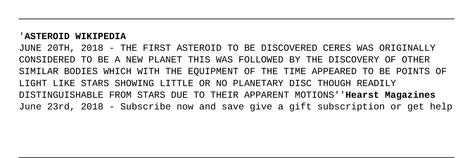## '**ASTEROID WIKIPEDIA**

JUNE 20TH, 2018 - THE FIRST ASTEROID TO BE DISCOVERED CERES WAS ORIGINALLY CONSIDERED TO BE A NEW PLANET THIS WAS FOLLOWED BY THE DISCOVERY OF OTHER SIMILAR BODIES WHICH WITH THE EQUIPMENT OF THE TIME APPEARED TO BE POINTS OF LIGHT LIKE STARS SHOWING LITTLE OR NO PLANETARY DISC THOUGH READILY DISTINGUISHABLE FROM STARS DUE TO THEIR APPARENT MOTIONS''**Hearst Magazines** June 23rd, 2018 - Subscribe now and save give a gift subscription or get help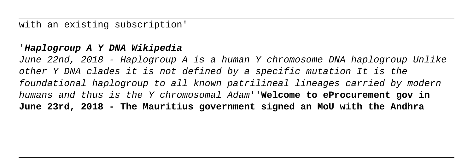with an existing subscription'

## '**Haplogroup A Y DNA Wikipedia**

June 22nd, 2018 - Haplogroup A is a human Y chromosome DNA haplogroup Unlike other Y DNA clades it is not defined by a specific mutation It is the foundational haplogroup to all known patrilineal lineages carried by modern humans and thus is the Y chromosomal Adam''**Welcome to eProcurement gov in June 23rd, 2018 - The Mauritius government signed an MoU with the Andhra**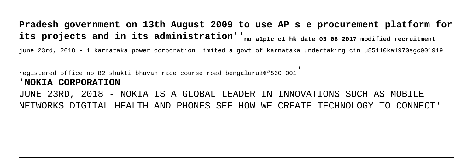**Pradesh government on 13th August 2009 to use AP s e procurement platform for its projects and in its administration**''**no a1p1c c1 hk date 03 08 2017 modified recruitment**

june 23rd, 2018 - 1 karnataka power corporation limited a govt of karnataka undertaking cin u85110ka1970sgc001919

registered office no 82 shakti bhavan race course road bengaluruâ $\epsilon$ "560 001

## '**NOKIA CORPORATION**

JUNE 23RD, 2018 - NOKIA IS A GLOBAL LEADER IN INNOVATIONS SUCH AS MOBILE NETWORKS DIGITAL HEALTH AND PHONES SEE HOW WE CREATE TECHNOLOGY TO CONNECT'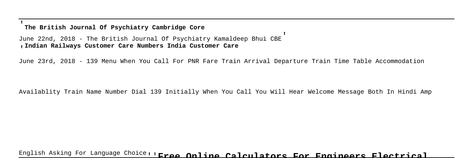'**The British Journal Of Psychiatry Cambridge Core**

June 22nd, 2018 - The British Journal Of Psychiatry Kamaldeep Bhui CBE' '**Indian Railways Customer Care Numbers India Customer Care**

June 23rd, 2018 - 139 Menu When You Call For PNR Fare Train Arrival Departure Train Time Table Accommodation

Availablity Train Name Number Dial 139 Initially When You Call You Will Hear Welcome Message Both In Hindi Amp

English Asking For Language Choice''**Free Online Calculators For Engineers Electrical**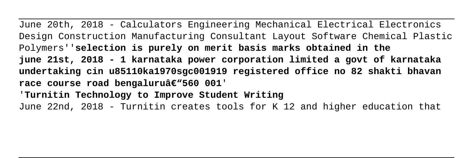June 20th, 2018 - Calculators Engineering Mechanical Electrical Electronics Design Construction Manufacturing Consultant Layout Software Chemical Plastic Polymers''**selection is purely on merit basis marks obtained in the june 21st, 2018 - 1 karnataka power corporation limited a govt of karnataka undertaking cin u85110ka1970sgc001919 registered office no 82 shakti bhavan** race course road bengaluruâ€"560 001' '**Turnitin Technology to Improve Student Writing** June 22nd, 2018 - Turnitin creates tools for K 12 and higher education that